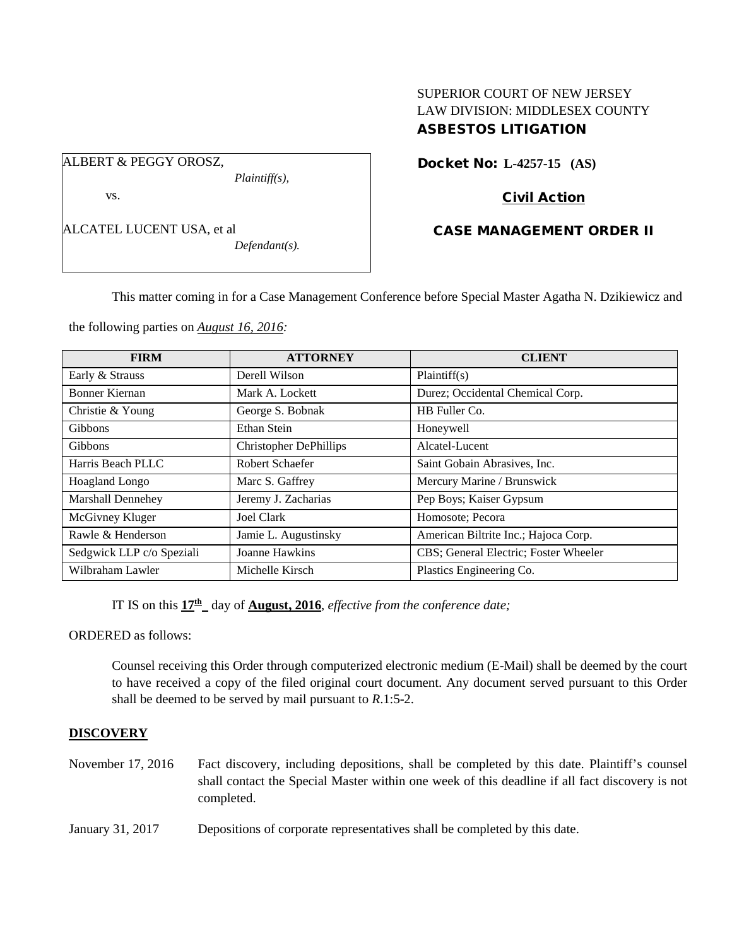# SUPERIOR COURT OF NEW JERSEY LAW DIVISION: MIDDLESEX COUNTY ASBESTOS LITIGATION

ALBERT & PEGGY OROSZ,

vs.

*Plaintiff(s),*

ALCATEL LUCENT USA, et al

*Defendant(s).*

Docket No: **L-4257-15 (AS)** 

# Civil Action

# CASE MANAGEMENT ORDER II

This matter coming in for a Case Management Conference before Special Master Agatha N. Dzikiewicz and

the following parties on *August 16, 2016:*

| <b>FIRM</b>               | <b>ATTORNEY</b>               | <b>CLIENT</b>                         |
|---------------------------|-------------------------------|---------------------------------------|
| Early & Strauss           | Derell Wilson                 | Plaintiff(s)                          |
| Bonner Kiernan            | Mark A. Lockett               | Durez; Occidental Chemical Corp.      |
| Christie & Young          | George S. Bobnak              | HB Fuller Co.                         |
| Gibbons                   | Ethan Stein                   | Honeywell                             |
| Gibbons                   | <b>Christopher DePhillips</b> | Alcatel-Lucent                        |
| Harris Beach PLLC         | Robert Schaefer               | Saint Gobain Abrasives, Inc.          |
| Hoagland Longo            | Marc S. Gaffrey               | Mercury Marine / Brunswick            |
| <b>Marshall Dennehey</b>  | Jeremy J. Zacharias           | Pep Boys; Kaiser Gypsum               |
| McGivney Kluger           | Joel Clark                    | Homosote; Pecora                      |
| Rawle & Henderson         | Jamie L. Augustinsky          | American Biltrite Inc.; Hajoca Corp.  |
| Sedgwick LLP c/o Speziali | Joanne Hawkins                | CBS; General Electric; Foster Wheeler |
| Wilbraham Lawler          | Michelle Kirsch               | Plastics Engineering Co.              |

IT IS on this  $17<sup>th</sup>$  day of **August, 2016**, *effective from the conference date*;

ORDERED as follows:

Counsel receiving this Order through computerized electronic medium (E-Mail) shall be deemed by the court to have received a copy of the filed original court document. Any document served pursuant to this Order shall be deemed to be served by mail pursuant to *R*.1:5-2.

## **DISCOVERY**

- November 17, 2016 Fact discovery, including depositions, shall be completed by this date. Plaintiff's counsel shall contact the Special Master within one week of this deadline if all fact discovery is not completed.
- January 31, 2017 Depositions of corporate representatives shall be completed by this date.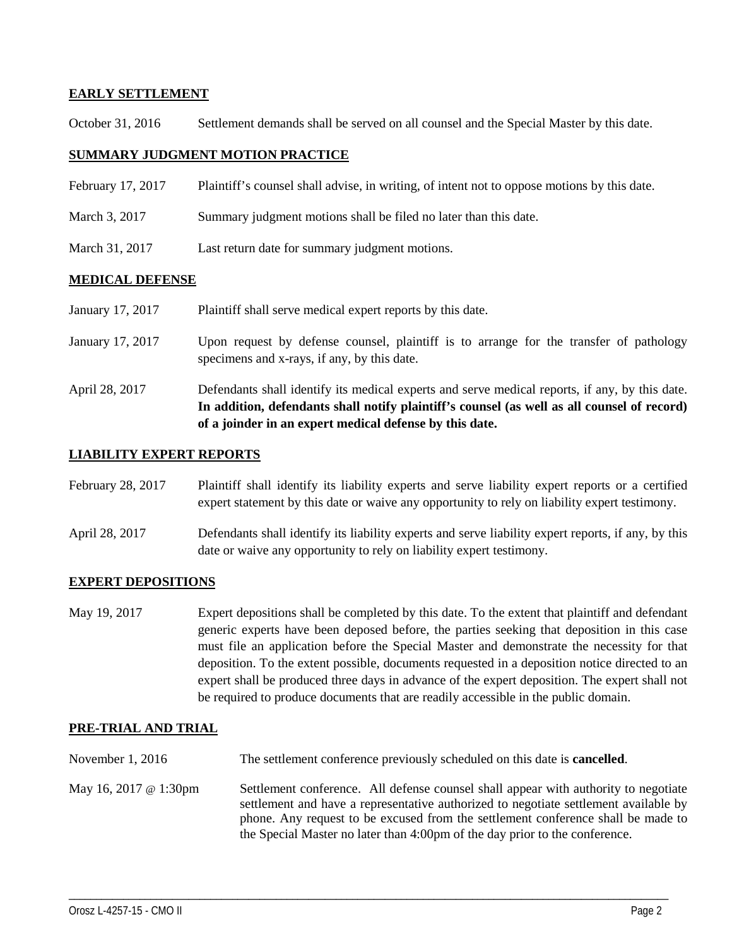### **EARLY SETTLEMENT**

October 31, 2016 Settlement demands shall be served on all counsel and the Special Master by this date.

### **SUMMARY JUDGMENT MOTION PRACTICE**

- February 17, 2017 Plaintiff's counsel shall advise, in writing, of intent not to oppose motions by this date.
- March 3, 2017 Summary judgment motions shall be filed no later than this date.
- March 31, 2017 Last return date for summary judgment motions.

### **MEDICAL DEFENSE**

- January 17, 2017 Plaintiff shall serve medical expert reports by this date.
- January 17, 2017 Upon request by defense counsel, plaintiff is to arrange for the transfer of pathology specimens and x-rays, if any, by this date.
- April 28, 2017 Defendants shall identify its medical experts and serve medical reports, if any, by this date. **In addition, defendants shall notify plaintiff's counsel (as well as all counsel of record) of a joinder in an expert medical defense by this date.**

### **LIABILITY EXPERT REPORTS**

- February 28, 2017 Plaintiff shall identify its liability experts and serve liability expert reports or a certified expert statement by this date or waive any opportunity to rely on liability expert testimony.
- April 28, 2017 Defendants shall identify its liability experts and serve liability expert reports, if any, by this date or waive any opportunity to rely on liability expert testimony.

## **EXPERT DEPOSITIONS**

May 19, 2017 Expert depositions shall be completed by this date. To the extent that plaintiff and defendant generic experts have been deposed before, the parties seeking that deposition in this case must file an application before the Special Master and demonstrate the necessity for that deposition. To the extent possible, documents requested in a deposition notice directed to an expert shall be produced three days in advance of the expert deposition. The expert shall not be required to produce documents that are readily accessible in the public domain.

### **PRE-TRIAL AND TRIAL**

- November 1, 2016 The settlement conference previously scheduled on this date is **cancelled**.
- May 16, 2017 @ 1:30pm Settlement conference. All defense counsel shall appear with authority to negotiate settlement and have a representative authorized to negotiate settlement available by phone. Any request to be excused from the settlement conference shall be made to the Special Master no later than 4:00pm of the day prior to the conference.

\_\_\_\_\_\_\_\_\_\_\_\_\_\_\_\_\_\_\_\_\_\_\_\_\_\_\_\_\_\_\_\_\_\_\_\_\_\_\_\_\_\_\_\_\_\_\_\_\_\_\_\_\_\_\_\_\_\_\_\_\_\_\_\_\_\_\_\_\_\_\_\_\_\_\_\_\_\_\_\_\_\_\_\_\_\_\_\_\_\_\_\_\_\_\_\_\_\_\_\_\_\_\_\_\_\_\_\_\_\_